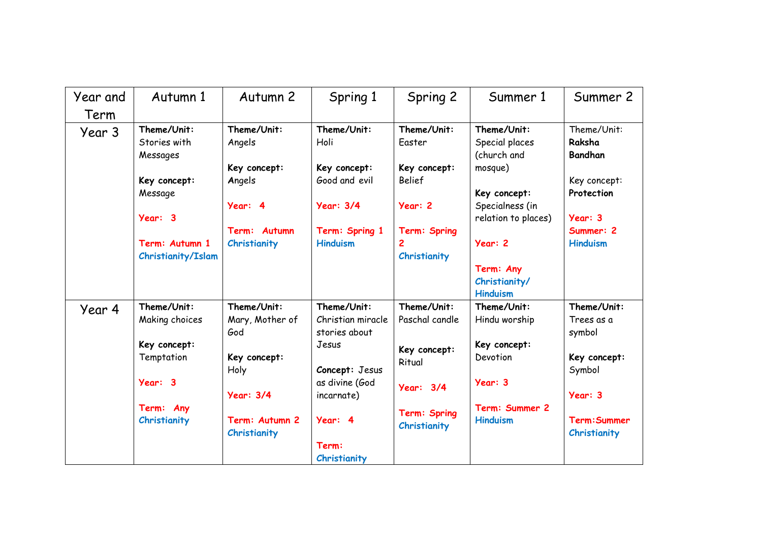| Year and | Autumn 1                                | Autumn 2                              | Spring 1                                          | Spring 2                      | Summer 1                                               | Summer 2                                |
|----------|-----------------------------------------|---------------------------------------|---------------------------------------------------|-------------------------------|--------------------------------------------------------|-----------------------------------------|
| Term     |                                         |                                       |                                                   |                               |                                                        |                                         |
| Year 3   | Theme/Unit:<br>Stories with<br>Messages | Theme/Unit:<br>Angels                 | Theme/Unit:<br>Holi                               | Theme/Unit:<br>Easter         | Theme/Unit:<br>Special places<br>(church and           | Theme/Unit:<br>Raksha<br><b>Bandhan</b> |
|          | Key concept:                            | Key concept:<br>Angels                | Key concept:<br>Good and evil                     | Key concept:<br><b>Belief</b> | mosque)                                                | Key concept:<br>Protection              |
|          | Message<br>Year: 3                      | Year: 4                               | <b>Year: 3/4</b>                                  | Year: 2                       | Key concept:<br>Specialness (in<br>relation to places) | Year: 3                                 |
|          | Term: Autumn 1                          | Term: Autumn<br>Christianity          | Term: Spring 1<br><b>Hinduism</b>                 | Term: Spring                  | Year: 2                                                | Summer: 2<br><b>Hinduism</b>            |
|          | Christianity/Islam                      |                                       |                                                   | Christianity                  | Term: Any<br>Christianity/<br><b>Hinduism</b>          |                                         |
| Year 4   | Theme/Unit:<br>Making choices           | Theme/Unit:<br>Mary, Mother of<br>God | Theme/Unit:<br>Christian miracle<br>stories about | Theme/Unit:<br>Paschal candle | Theme/Unit:<br>Hindu worship                           | Theme/Unit:<br>Trees as a<br>symbol     |
|          | Key concept:<br>Temptation              | Key concept:<br>Holy                  | Jesus<br>Concept: Jesus                           | Key concept:<br>Ritual        | Key concept:<br>Devotion                               | Key concept:<br>Symbol                  |
|          | Year: 3                                 | <b>Year: 3/4</b>                      | as divine (God<br>incarnate)                      | <b>Year: 3/4</b>              | Year: 3                                                | Year: 3                                 |
|          | Term: Any<br>Christianity               | Term: Autumn 2<br>Christianity        | Year: 4                                           | Term: Spring<br>Christianity  | Term: Summer 2<br><b>Hinduism</b>                      | Term: Summer<br>Christianity            |
|          |                                         |                                       | Term:<br>Christianity                             |                               |                                                        |                                         |